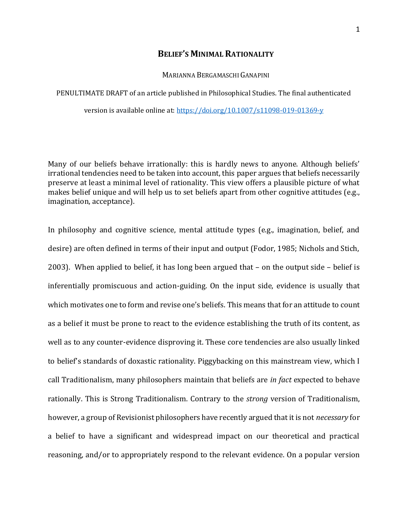## **BELIEF'S MINIMAL RATIONALITY**

## MARIANNA BERGAMASCHI GANAPINI

PENULTIMATE DRAFT of an article published in Philosophical Studies. The final authenticated

version is available online at: <https://doi.org/10.1007/s11098-019-01369-y>

Many of our beliefs behave irrationally: this is hardly news to anyone. Although beliefs' irrational tendencies need to be taken into account, this paper argues that beliefs necessarily preserve at least a minimal level of rationality. This view offers a plausible picture of what makes belief unique and will help us to set beliefs apart from other cognitive attitudes (e.g., imagination, acceptance).

In philosophy and cognitive science, mental attitude types (e.g., imagination, belief, and desire) are often defined in terms of their input and output (Fodor, 1985; Nichols and Stich, 2003). When applied to belief, it has long been argued that – on the output side – belief is inferentially promiscuous and action-guiding. On the input side, evidence is usually that which motivates one to form and revise one's beliefs. This means that for an attitude to count as a belief it must be prone to react to the evidence establishing the truth of its content, as well as to any counter-evidence disproving it. These core tendencies are also usually linked to belief's standards of doxastic rationality. Piggybacking on this mainstream view, which I call Traditionalism, many philosophers maintain that beliefs are *in fact* expected to behave rationally. This is Strong Traditionalism. Contrary to the *strong* version of Traditionalism, however, a group of Revisionist philosophers have recently argued that it is not *necessary* for a belief to have a significant and widespread impact on our theoretical and practical reasoning, and/or to appropriately respond to the relevant evidence. On a popular version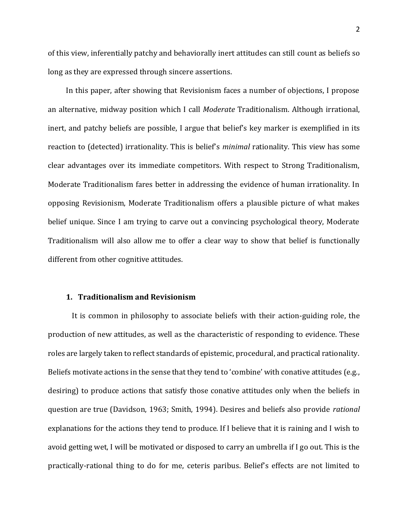of this view, inferentially patchy and behaviorally inert attitudes can still count as beliefs so long as they are expressed through sincere assertions.

In this paper, after showing that Revisionism faces a number of objections, I propose an alternative, midway position which I call *Moderate* Traditionalism. Although irrational, inert, and patchy beliefs are possible, I argue that belief's key marker is exemplified in its reaction to (detected) irrationality. This is belief's *minimal* rationality. This view has some clear advantages over its immediate competitors. With respect to Strong Traditionalism, Moderate Traditionalism fares better in addressing the evidence of human irrationality. In opposing Revisionism, Moderate Traditionalism offers a plausible picture of what makes belief unique. Since I am trying to carve out a convincing psychological theory, Moderate Traditionalism will also allow me to offer a clear way to show that belief is functionally different from other cognitive attitudes.

# **1. Traditionalism and Revisionism**

It is common in philosophy to associate beliefs with their action-guiding role, the production of new attitudes, as well as the characteristic of responding to evidence. These roles are largely taken to reflect standards of epistemic, procedural, and practical rationality. Beliefs motivate actions in the sense that they tend to 'combine' with conative attitudes (e.g., desiring) to produce actions that satisfy those conative attitudes only when the beliefs in question are true (Davidson, 1963; Smith, 1994). Desires and beliefs also provide *rational* explanations for the actions they tend to produce. If I believe that it is raining and I wish to avoid getting wet, I will be motivated or disposed to carry an umbrella if I go out. This is the practically-rational thing to do for me, ceteris paribus. Belief's effects are not limited to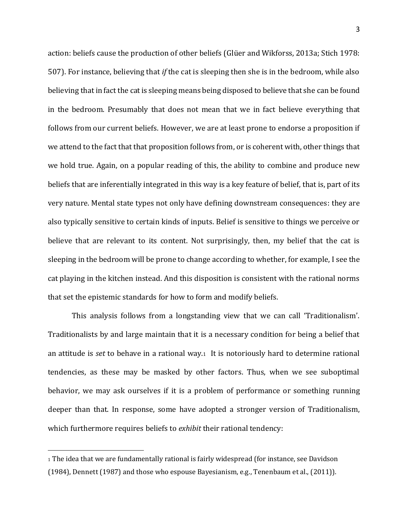action: beliefs cause the production of other beliefs (Glüer and Wikforss, 2013a; Stich 1978: 507). For instance, believing that *if* the cat is sleeping then she is in the bedroom, while also believing that in fact the cat is sleeping means being disposed to believe that she can be found in the bedroom. Presumably that does not mean that we in fact believe everything that follows from our current beliefs. However, we are at least prone to endorse a proposition if we attend to the fact that that proposition follows from, or is coherent with, other things that we hold true. Again, on a popular reading of this, the ability to combine and produce new beliefs that are inferentially integrated in this way is a key feature of belief, that is, part of its very nature. Mental state types not only have defining downstream consequences: they are also typically sensitive to certain kinds of inputs. Belief is sensitive to things we perceive or believe that are relevant to its content. Not surprisingly, then, my belief that the cat is sleeping in the bedroom will be prone to change according to whether, for example, I see the cat playing in the kitchen instead. And this disposition is consistent with the rational norms that set the epistemic standards for how to form and modify beliefs.

This analysis follows from a longstanding view that we can call 'Traditionalism'. Traditionalists by and large maintain that it is a necessary condition for being a belief that an attitude is *set* to behave in a rational way.1 It is notoriously hard to determine rational tendencies, as these may be masked by other factors. Thus, when we see suboptimal behavior, we may ask ourselves if it is a problem of performance or something running deeper than that. In response, some have adopted a stronger version of Traditionalism, which furthermore requires beliefs to *exhibit* their rational tendency:

<sup>1</sup> The idea that we are fundamentally rational is fairly widespread (for instance, see Davidson (1984), Dennett (1987) and those who espouse Bayesianism, e.g., Tenenbaum et al., (2011)).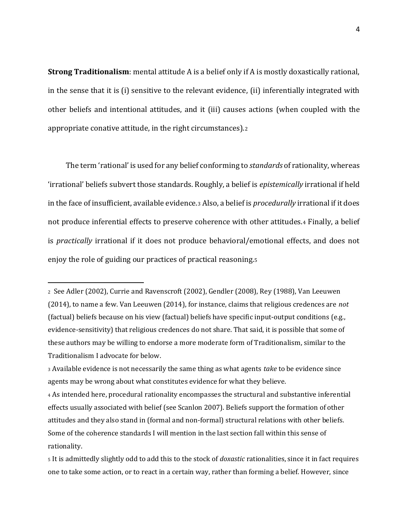**Strong Traditionalism**: mental attitude A is a belief only if A is mostly doxastically rational, in the sense that it is (i) sensitive to the relevant evidence, (ii) inferentially integrated with other beliefs and intentional attitudes, and it (iii) causes actions (when coupled with the appropriate conative attitude, in the right circumstances).<sup>2</sup>

The term 'rational' is used for any belief conforming to *standards* of rationality, whereas 'irrational' beliefs subvert those standards. Roughly, a belief is *epistemically* irrational if held in the face of insufficient, available evidence.<sup>3</sup> Also, a belief is *procedurally* irrational if it does not produce inferential effects to preserve coherence with other attitudes.<sup>4</sup> Finally, a belief is *practically* irrational if it does not produce behavioral/emotional effects, and does not enjoy the role of guiding our practices of practical reasoning.<sup>5</sup>

<sup>2</sup> See Adler (2002), Currie and Ravenscroft (2002), Gendler (2008), Rey (1988), Van Leeuwen (2014), to name a few. Van Leeuwen (2014), for instance, claims that religious credences are *not* (factual) beliefs because on his view (factual) beliefs have specific input-output conditions (e.g., evidence-sensitivity) that religious credences do not share. That said, it is possible that some of these authors may be willing to endorse a more moderate form of Traditionalism, similar to the Traditionalism I advocate for below.

<sup>3</sup> Available evidence is not necessarily the same thing as what agents *take* to be evidence since agents may be wrong about what constitutes evidence for what they believe.

<sup>4</sup> As intended here, procedural rationality encompasses the structural and substantive inferential effects usually associated with belief (see Scanlon 2007). Beliefs support the formation of other attitudes and they also stand in (formal and non-formal) structural relations with other beliefs. Some of the coherence standards I will mention in the last section fall within this sense of rationality.

<sup>5</sup> It is admittedly slightly odd to add this to the stock of *doxastic* rationalities, since it in fact requires one to take some action, or to react in a certain way, rather than forming a belief. However, since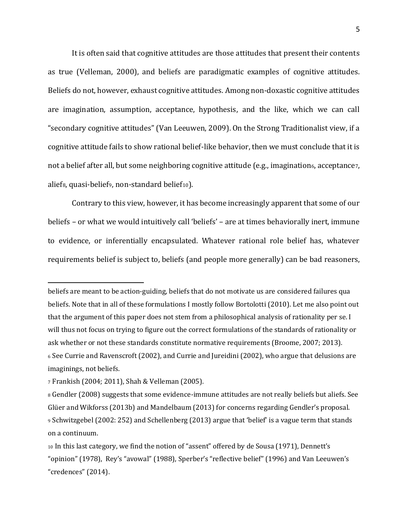It is often said that cognitive attitudes are those attitudes that present their contents as true (Velleman, 2000), and beliefs are paradigmatic examples of cognitive attitudes. Beliefs do not, however, exhaust cognitive attitudes. Among non-doxastic cognitive attitudes are imagination, assumption, acceptance, hypothesis, and the like, which we can call "secondary cognitive attitudes" (Van Leeuwen, 2009). On the Strong Traditionalist view, if a cognitive attitude fails to show rational belief-like behavior, then we must conclude that it is not a belief after all, but some neighboring cognitive attitude (e.g., imagination<sub>6</sub>, acceptance<sub>7</sub>, alief<sub>8</sub>, quasi-belief<sub>9</sub>, non-standard belief<sub>10</sub>).

Contrary to this view, however, it has become increasingly apparent that some of our beliefs – or what we would intuitively call 'beliefs' – are at times behaviorally inert, immune to evidence, or inferentially encapsulated. Whatever rational role belief has, whatever requirements belief is subject to, beliefs (and people more generally) can be bad reasoners,

beliefs are meant to be action-guiding, beliefs that do not motivate us are considered failures qua beliefs. Note that in all of these formulations I mostly follow Bortolotti (2010). Let me also point out that the argument of this paper does not stem from a philosophical analysis of rationality per se. I will thus not focus on trying to figure out the correct formulations of the standards of rationality or ask whether or not these standards constitute normative requirements (Broome, 2007; 2013). <sup>6</sup> See Currie and Ravenscroft (2002), and Currie and Jureidini (2002), who argue that delusions are imaginings, not beliefs.

<sup>7</sup> Frankish (2004; 2011), Shah & Velleman (2005).

<sup>8</sup> Gendler (2008) suggests that some evidence-immune attitudes are not really beliefs but aliefs. See Glüer and Wikforss (2013b) and Mandelbaum (2013) for concerns regarding Gendler's proposal. <sup>9</sup> Schwitzgebel (2002: 252) and Schellenberg (2013) argue that 'belief' is a vague term that stands on a continuum.

<sup>10</sup> In this last category, we find the notion of "assent" offered by de Sousa (1971), Dennett's "opinion" (1978), Rey's "avowal" (1988), Sperber's "reflective belief" (1996) and Van Leeuwen's "credences" (2014).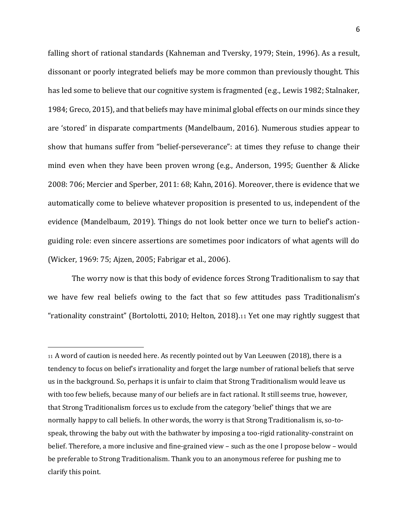falling short of rational standards (Kahneman and Tversky, 1979; Stein, 1996). As a result, dissonant or poorly integrated beliefs may be more common than previously thought. This has led some to believe that our cognitive system is fragmented (e.g., Lewis 1982; Stalnaker, 1984; Greco, 2015), and that beliefs may have minimal global effects on our minds since they are 'stored' in disparate compartments (Mandelbaum, 2016). Numerous studies appear to show that humans suffer from "belief-perseverance": at times they refuse to change their mind even when they have been proven wrong (e.g., Anderson, 1995; Guenther & Alicke 2008: 706; Mercier and Sperber, 2011: 68; Kahn, 2016). Moreover, there is evidence that we automatically come to believe whatever proposition is presented to us, independent of the evidence (Mandelbaum, 2019). Things do not look better once we turn to belief's actionguiding role: even sincere assertions are sometimes poor indicators of what agents will do (Wicker, 1969: 75; Ajzen, 2005; Fabrigar et al., 2006).

The worry now is that this body of evidence forces Strong Traditionalism to say that we have few real beliefs owing to the fact that so few attitudes pass Traditionalism's "rationality constraint" (Bortolotti, 2010; Helton, 2018).<sup>11</sup> Yet one may rightly suggest that

<sup>11</sup> A word of caution is needed here. As recently pointed out by Van Leeuwen (2018), there is a tendency to focus on belief's irrationality and forget the large number of rational beliefs that serve us in the background. So, perhaps it is unfair to claim that Strong Traditionalism would leave us with too few beliefs, because many of our beliefs are in fact rational. It still seems true, however, that Strong Traditionalism forces us to exclude from the category 'belief' things that we are normally happy to call beliefs. In other words, the worry is that Strong Traditionalism is, so-tospeak, throwing the baby out with the bathwater by imposing a too-rigid rationality-constraint on belief. Therefore, a more inclusive and fine-grained view – such as the one I propose below – would be preferable to Strong Traditionalism. Thank you to an anonymous referee for pushing me to clarify this point.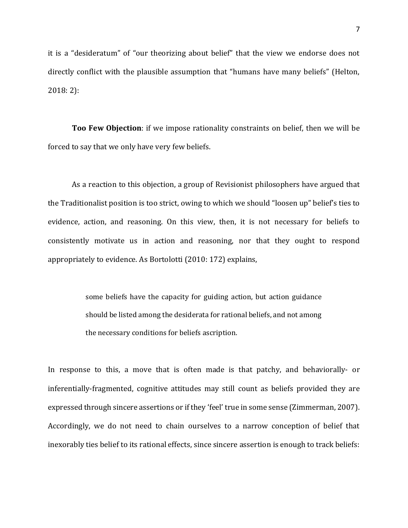it is a "desideratum" of "our theorizing about belief" that the view we endorse does not directly conflict with the plausible assumption that "humans have many beliefs" (Helton, 2018: 2):

**Too Few Objection**: if we impose rationality constraints on belief, then we will be forced to say that we only have very few beliefs.

As a reaction to this objection, a group of Revisionist philosophers have argued that the Traditionalist position is too strict, owing to which we should "loosen up" belief's ties to evidence, action, and reasoning. On this view, then, it is not necessary for beliefs to consistently motivate us in action and reasoning, nor that they ought to respond appropriately to evidence. As Bortolotti (2010: 172) explains,

> some beliefs have the capacity for guiding action, but action guidance should be listed among the desiderata for rational beliefs, and not among the necessary conditions for beliefs ascription.

In response to this, a move that is often made is that patchy, and behaviorally- or inferentially-fragmented, cognitive attitudes may still count as beliefs provided they are expressed through sincere assertions or if they 'feel' true in some sense (Zimmerman, 2007). Accordingly, we do not need to chain ourselves to a narrow conception of belief that inexorably ties belief to its rational effects, since sincere assertion is enough to track beliefs: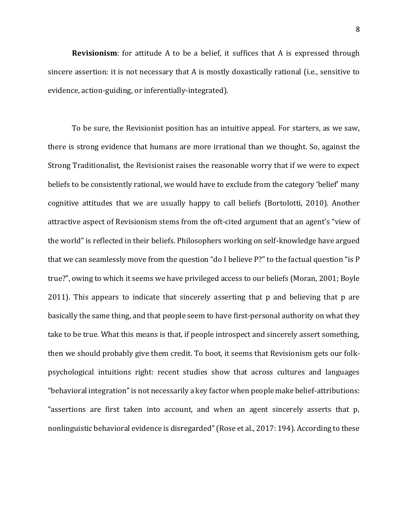**Revisionism**: for attitude A to be a belief, it suffices that A is expressed through sincere assertion: it is not necessary that A is mostly doxastically rational (i.e., sensitive to evidence, action-guiding, or inferentially-integrated).

To be sure, the Revisionist position has an intuitive appeal. For starters, as we saw, there is strong evidence that humans are more irrational than we thought. So, against the Strong Traditionalist, the Revisionist raises the reasonable worry that if we were to expect beliefs to be consistently rational, we would have to exclude from the category 'belief' many cognitive attitudes that we are usually happy to call beliefs (Bortolotti, 2010). Another attractive aspect of Revisionism stems from the oft-cited argument that an agent's "view of the world" is reflected in their beliefs. Philosophers working on self-knowledge have argued that we can seamlessly move from the question "do I believe P?" to the factual question "is P true?", owing to which it seems we have privileged access to our beliefs (Moran, 2001; Boyle 2011). This appears to indicate that sincerely asserting that p and believing that p are basically the same thing, and that people seem to have first-personal authority on what they take to be true. What this means is that, if people introspect and sincerely assert something, then we should probably give them credit. To boot, it seems that Revisionism gets our folkpsychological intuitions right: recent studies show that across cultures and languages "behavioral integration" is not necessarily a key factor when people make belief-attributions: "assertions are first taken into account, and when an agent sincerely asserts that p, nonlinguistic behavioral evidence is disregarded" (Rose et al., 2017: 194). According to these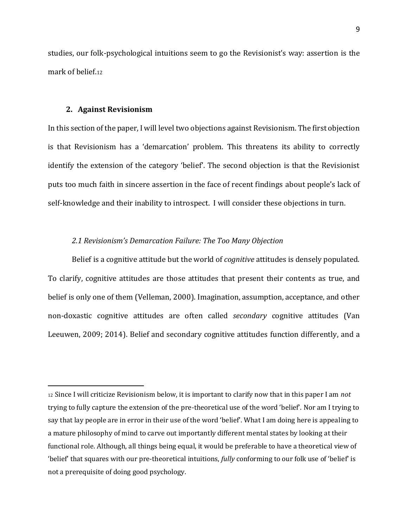studies, our folk-psychological intuitions seem to go the Revisionist's way: assertion is the mark of belief.<sup>12</sup>

#### **2. Against Revisionism**

In this section of the paper, I will level two objections against Revisionism. The first objection is that Revisionism has a 'demarcation' problem. This threatens its ability to correctly identify the extension of the category 'belief'. The second objection is that the Revisionist puts too much faith in sincere assertion in the face of recent findings about people's lack of self-knowledge and their inability to introspect. I will consider these objections in turn.

## *2.1 Revisionism's Demarcation Failure: The Too Many Objection*

Belief is a cognitive attitude but the world of *cognitive* attitudes is densely populated. To clarify, cognitive attitudes are those attitudes that present their contents as true, and belief is only one of them (Velleman, 2000). Imagination, assumption, acceptance, and other non-doxastic cognitive attitudes are often called *secondary* cognitive attitudes (Van Leeuwen, 2009; 2014). Belief and secondary cognitive attitudes function differently, and a

<sup>12</sup> Since I will criticize Revisionism below, it is important to clarify now that in this paper I am *not* trying to fully capture the extension of the pre-theoretical use of the word 'belief'. Nor am I trying to say that lay people are in error in their use of the word 'belief'. What I am doing here is appealing to a mature philosophy of mind to carve out importantly different mental states by looking at their functional role. Although, all things being equal, it would be preferable to have a theoretical view of 'belief' that squares with our pre-theoretical intuitions, *fully* conforming to our folk use of 'belief' is not a prerequisite of doing good psychology.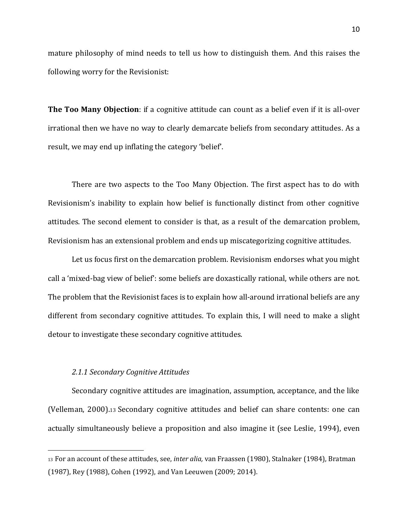mature philosophy of mind needs to tell us how to distinguish them. And this raises the following worry for the Revisionist:

**The Too Many Objection**: if a cognitive attitude can count as a belief even if it is all-over irrational then we have no way to clearly demarcate beliefs from secondary attitudes. As a result, we may end up inflating the category 'belief'.

There are two aspects to the Too Many Objection. The first aspect has to do with Revisionism's inability to explain how belief is functionally distinct from other cognitive attitudes. The second element to consider is that, as a result of the demarcation problem, Revisionism has an extensional problem and ends up miscategorizing cognitive attitudes.

Let us focus first on the demarcation problem. Revisionism endorses what you might call a 'mixed-bag view of belief': some beliefs are doxastically rational, while others are not. The problem that the Revisionist faces is to explain how all-around irrational beliefs are any different from secondary cognitive attitudes. To explain this, I will need to make a slight detour to investigate these secondary cognitive attitudes.

## *2.1.1 Secondary Cognitive Attitudes*

Secondary cognitive attitudes are imagination, assumption, acceptance, and the like (Velleman, 2000).<sup>13</sup> Secondary cognitive attitudes and belief can share contents: one can actually simultaneously believe a proposition and also imagine it (see Leslie, 1994), even

<sup>13</sup> For an account of these attitudes, see, *inter alia,* van Fraassen (1980), Stalnaker (1984), Bratman (1987), Rey (1988), Cohen (1992), and Van Leeuwen (2009; 2014).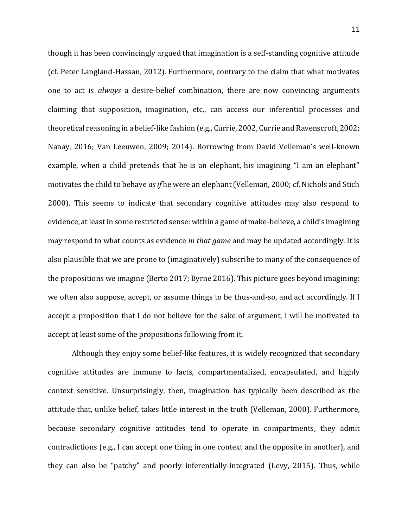though it has been convincingly argued that imagination is a self-standing cognitive attitude (cf. Peter Langland-Hassan, 2012). Furthermore, contrary to the claim that what motivates one to act is *always* a desire-belief combination, there are now convincing arguments claiming that supposition, imagination, etc., can access our inferential processes and theoretical reasoning in a belief-like fashion (e.g., Currie, 2002, Currie and Ravenscroft, 2002; Nanay, 2016; Van Leeuwen, 2009; 2014). Borrowing from David Velleman's well-known example, when a child pretends that he is an elephant, his imagining "I am an elephant" motivates the child to behave *as if* he were an elephant (Velleman, 2000; cf. Nichols and Stich 2000). This seems to indicate that secondary cognitive attitudes may also respond to evidence, at least in some restricted sense: within a game of make-believe, a child's imagining may respond to what counts as evidence *in that game* and may be updated accordingly. It is also plausible that we are prone to (imaginatively) subscribe to many of the consequence of the propositions we imagine (Berto 2017; Byrne 2016). This picture goes beyond imagining: we often also suppose, accept, or assume things to be thus-and-so, and act accordingly. If I accept a proposition that I do not believe for the sake of argument, I will be motivated to accept at least some of the propositions following from it.

Although they enjoy some belief-like features, it is widely recognized that secondary cognitive attitudes are immune to facts, compartmentalized, encapsulated, and highly context sensitive. Unsurprisingly, then, imagination has typically been described as the attitude that, unlike belief, takes little interest in the truth (Velleman, 2000). Furthermore, because secondary cognitive attitudes tend to operate in compartments, they admit contradictions (e.g., I can accept one thing in one context and the opposite in another), and they can also be "patchy" and poorly inferentially-integrated (Levy, 2015). Thus, while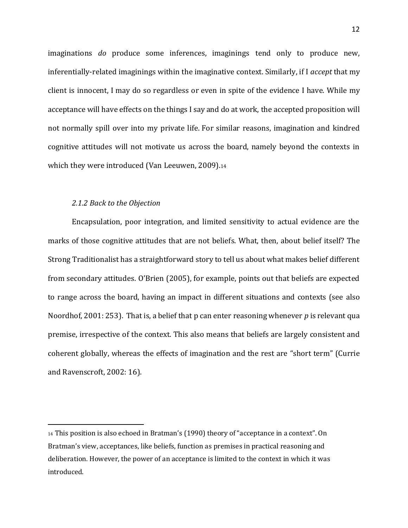imaginations *do* produce some inferences, imaginings tend only to produce new, inferentially-related imaginings within the imaginative context. Similarly, if I *accept* that my client is innocent, I may do so regardless or even in spite of the evidence I have. While my acceptance will have effects on the things I say and do at work, the accepted proposition will not normally spill over into my private life. For similar reasons, imagination and kindred cognitive attitudes will not motivate us across the board, namely beyond the contexts in which they were introduced (Van Leeuwen, 2009).<sup>14</sup>

### *2.1.2 Back to the Objection*

Encapsulation, poor integration, and limited sensitivity to actual evidence are the marks of those cognitive attitudes that are not beliefs. What, then, about belief itself? The Strong Traditionalist has a straightforward story to tell us about what makes belief different from secondary attitudes. O'Brien (2005), for example, points out that beliefs are expected to range across the board, having an impact in different situations and contexts (see also Noordhof, 2001: 253). That is, a belief that p can enter reasoning whenever *p* is relevant qua premise, irrespective of the context. This also means that beliefs are largely consistent and coherent globally, whereas the effects of imagination and the rest are "short term" (Currie and Ravenscroft, 2002: 16).

<sup>14</sup> This position is also echoed in Bratman's (1990) theory of "acceptance in a context". On Bratman's view, acceptances, like beliefs, function as premises in practical reasoning and deliberation. However, the power of an acceptance is limited to the context in which it was introduced.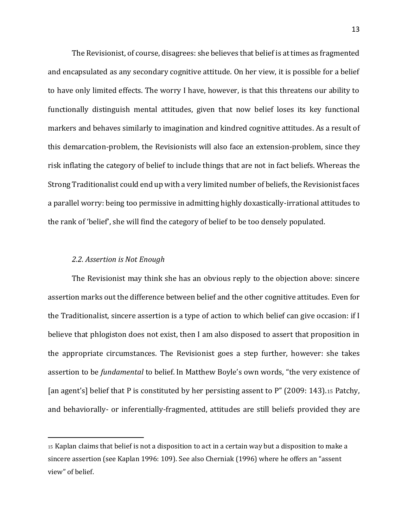The Revisionist, of course, disagrees: she believes that belief is at times as fragmented and encapsulated as any secondary cognitive attitude. On her view, it is possible for a belief to have only limited effects. The worry I have, however, is that this threatens our ability to functionally distinguish mental attitudes, given that now belief loses its key functional markers and behaves similarly to imagination and kindred cognitive attitudes. As a result of this demarcation-problem, the Revisionists will also face an extension-problem, since they risk inflating the category of belief to include things that are not in fact beliefs. Whereas the Strong Traditionalist could end up with a very limited number of beliefs, the Revisionist faces a parallel worry: being too permissive in admitting highly doxastically-irrational attitudes to the rank of 'belief', she will find the category of belief to be too densely populated.

#### *2.2. Assertion is Not Enough*

The Revisionist may think she has an obvious reply to the objection above: sincere assertion marks out the difference between belief and the other cognitive attitudes. Even for the Traditionalist, sincere assertion is a type of action to which belief can give occasion: if I believe that phlogiston does not exist, then I am also disposed to assert that proposition in the appropriate circumstances. The Revisionist goes a step further, however: she takes assertion to be *fundamental* to belief. In Matthew Boyle's own words, "the very existence of [an agent's] belief that P is constituted by her persisting assent to P" (2009: 143).15 Patchy, and behaviorally- or inferentially-fragmented, attitudes are still beliefs provided they are

<sup>15</sup> Kaplan claims that belief is not a disposition to act in a certain way but a disposition to make a sincere assertion (see Kaplan 1996: 109). See also Cherniak (1996) where he offers an "assent view" of belief.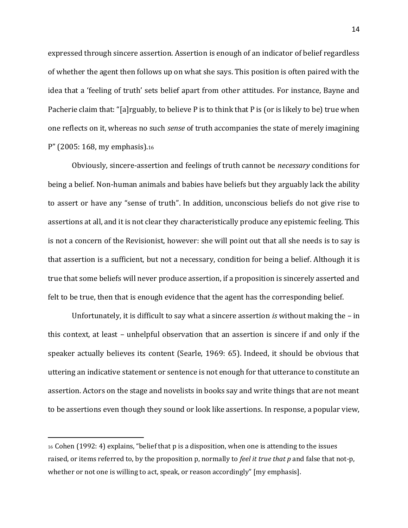expressed through sincere assertion. Assertion is enough of an indicator of belief regardless of whether the agent then follows up on what she says. This position is often paired with the idea that a 'feeling of truth' sets belief apart from other attitudes. For instance, Bayne and Pacherie claim that: "[a]rguably, to believe P is to think that P is (or is likely to be) true when one reflects on it, whereas no such *sense* of truth accompanies the state of merely imagining P" (2005: 168, my emphasis).<sup>16</sup>

Obviously, sincere-assertion and feelings of truth cannot be *necessary* conditions for being a belief. Non-human animals and babies have beliefs but they arguably lack the ability to assert or have any "sense of truth". In addition, unconscious beliefs do not give rise to assertions at all, and it is not clear they characteristically produce any epistemic feeling. This is not a concern of the Revisionist, however: she will point out that all she needs is to say is that assertion is a sufficient, but not a necessary, condition for being a belief. Although it is true that some beliefs will never produce assertion, if a proposition is sincerely asserted and felt to be true, then that is enough evidence that the agent has the corresponding belief.

Unfortunately, it is difficult to say what a sincere assertion *is* without making the – in this context, at least – unhelpful observation that an assertion is sincere if and only if the speaker actually believes its content (Searle, 1969: 65). Indeed, it should be obvious that uttering an indicative statement or sentence is not enough for that utterance to constitute an assertion. Actors on the stage and novelists in books say and write things that are not meant to be assertions even though they sound or look like assertions. In response, a popular view,

<sup>16</sup> Cohen (1992: 4) explains, "belief that p is a disposition, when one is attending to the issues raised, or items referred to, by the proposition p, normally to *feel it true that p* and false that not-p, whether or not one is willing to act, speak, or reason accordingly" [my emphasis].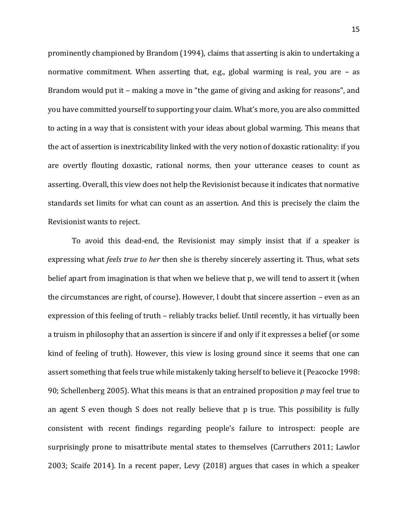prominently championed by Brandom (1994), claims that asserting is akin to undertaking a normative commitment. When asserting that, e.g., global warming is real, you are – as Brandom would put it – making a move in "the game of giving and asking for reasons", and you have committed yourself to supporting your claim. What's more, you are also committed to acting in a way that is consistent with your ideas about global warming. This means that the act of assertion is inextricability linked with the very notion of doxastic rationality: if you are overtly flouting doxastic, rational norms, then your utterance ceases to count as asserting. Overall, this view does not help the Revisionist because it indicates that normative standards set limits for what can count as an assertion. And this is precisely the claim the Revisionist wants to reject.

To avoid this dead-end, the Revisionist may simply insist that if a speaker is expressing what *feels true to her* then she is thereby sincerely asserting it. Thus, what sets belief apart from imagination is that when we believe that p, we will tend to assert it (when the circumstances are right, of course). However, I doubt that sincere assertion – even as an expression of this feeling of truth – reliably tracks belief. Until recently, it has virtually been a truism in philosophy that an assertion is sincere if and only if it expresses a belief (or some kind of feeling of truth). However, this view is losing ground since it seems that one can assert something that feels true while mistakenly taking herself to believe it (Peacocke 1998: 90; Schellenberg 2005). What this means is that an entrained proposition *p* may feel true to an agent S even though S does not really believe that p is true. This possibility is fully consistent with recent findings regarding people's failure to introspect: people are surprisingly prone to misattribute mental states to themselves (Carruthers 2011; Lawlor 2003; Scaife 2014). In a recent paper, Levy (2018) argues that cases in which a speaker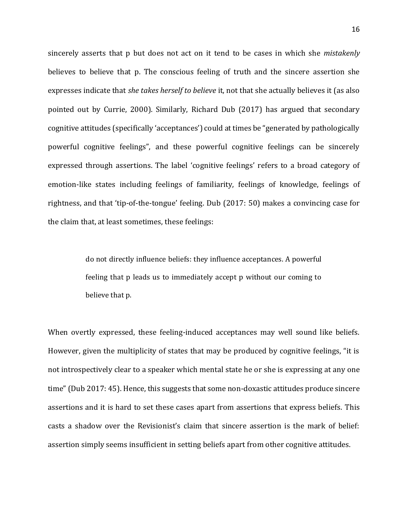sincerely asserts that p but does not act on it tend to be cases in which she *mistakenly* believes to believe that p. The conscious feeling of truth and the sincere assertion she expresses indicate that *she takes herself to believe* it, not that she actually believes it (as also pointed out by Currie, 2000). Similarly, Richard Dub (2017) has argued that secondary cognitive attitudes (specifically 'acceptances') could at times be "generated by pathologically powerful cognitive feelings", and these powerful cognitive feelings can be sincerely expressed through assertions. The label 'cognitive feelings' refers to a broad category of emotion-like states including feelings of familiarity, feelings of knowledge, feelings of rightness, and that 'tip-of-the-tongue' feeling. Dub (2017: 50) makes a convincing case for the claim that, at least sometimes, these feelings:

> do not directly influence beliefs: they influence acceptances. A powerful feeling that p leads us to immediately accept p without our coming to believe that p.

When overtly expressed, these feeling-induced acceptances may well sound like beliefs. However, given the multiplicity of states that may be produced by cognitive feelings, "it is not introspectively clear to a speaker which mental state he or she is expressing at any one time" (Dub 2017: 45). Hence, this suggests that some non-doxastic attitudes produce sincere assertions and it is hard to set these cases apart from assertions that express beliefs. This casts a shadow over the Revisionist's claim that sincere assertion is the mark of belief: assertion simply seems insufficient in setting beliefs apart from other cognitive attitudes.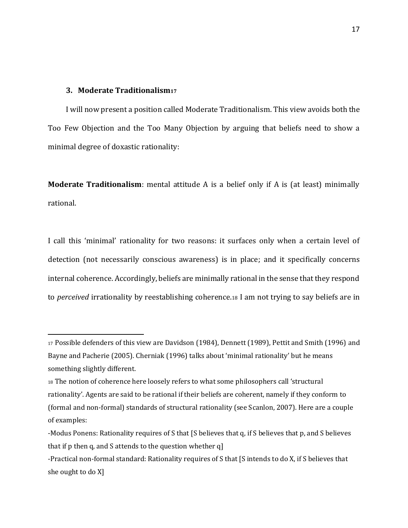### **3. Moderate Traditionalism<sup>17</sup>**

I will now present a position called Moderate Traditionalism. This view avoids both the Too Few Objection and the Too Many Objection by arguing that beliefs need to show a minimal degree of doxastic rationality:

**Moderate Traditionalism**: mental attitude A is a belief only if A is (at least) minimally rational.

I call this 'minimal' rationality for two reasons: it surfaces only when a certain level of detection (not necessarily conscious awareness) is in place; and it specifically concerns internal coherence. Accordingly, beliefs are minimally rational in the sense that they respond to *perceived* irrationality by reestablishing coherence.<sup>18</sup> I am not trying to say beliefs are in

<sup>17</sup> Possible defenders of this view are Davidson (1984), Dennett (1989), Pettit and Smith (1996) and Bayne and Pacherie (2005). Cherniak (1996) talks about 'minimal rationality' but he means something slightly different.

<sup>18</sup> The notion of coherence here loosely refers to what some philosophers call 'structural rationality'. Agents are said to be rational if their beliefs are coherent, namely if they conform to (formal and non-formal) standards of structural rationality (see Scanlon, 2007). Here are a couple of examples:

<sup>-</sup>Modus Ponens: Rationality requires of S that [S believes that q, if S believes that p, and S believes that if p then q, and S attends to the question whether q]

<sup>-</sup>Practical non-formal standard: Rationality requires of S that [S intends to do X, if S believes that she ought to do X]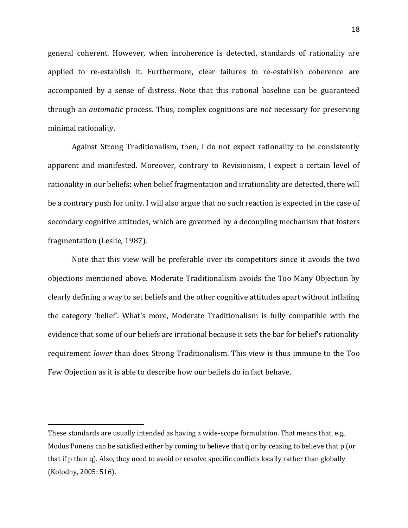general coherent. However, when incoherence is detected, standards of rationality are applied to re-establish it. Furthermore, clear failures to re-establish coherence are accompanied by a sense of distress. Note that this rational baseline can be guaranteed through an *automatic* process. Thus, complex cognitions are *not* necessary for preserving minimal rationality.

Against Strong Traditionalism, then, I do not expect rationality to be consistently apparent and manifested. Moreover, contrary to Revisionism, I expect a certain level of rationality in our beliefs: when belief fragmentation and irrationality are detected, there will be a contrary push for unity. I will also argue that no such reaction is expected in the case of secondary cognitive attitudes, which are governed by a decoupling mechanism that fosters fragmentation (Leslie, 1987).

Note that this view will be preferable over its competitors since it avoids the two objections mentioned above. Moderate Traditionalism avoids the Too Many Objection by clearly defining a way to set beliefs and the other cognitive attitudes apart without inflating the category 'belief'. What's more, Moderate Traditionalism is fully compatible with the evidence that some of our beliefs are irrational because it sets the bar for belief's rationality requirement *lower* than does Strong Traditionalism. This view is thus immune to the Too Few Objection as it is able to describe how our beliefs do in fact behave.

These standards are usually intended as having a wide-scope formulation. That means that, e.g., Modus Ponens can be satisfied either by coming to believe that q or by ceasing to believe that p (or that if p then q). Also, they need to avoid or resolve specific conflicts locally rather than globally (Kolodny, 2005: 516).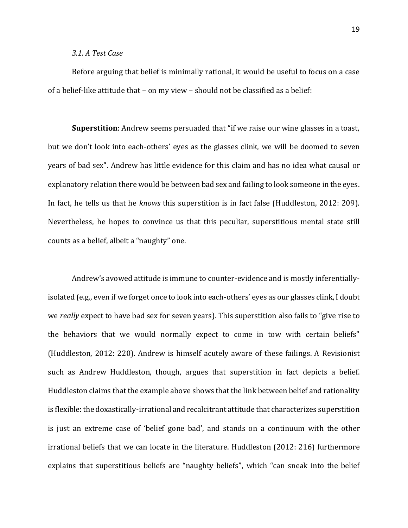### *3.1. A Test Case*

Before arguing that belief is minimally rational, it would be useful to focus on a case of a belief-like attitude that – on my view – should not be classified as a belief:

**Superstition**: Andrew seems persuaded that "if we raise our wine glasses in a toast, but we don't look into each-others' eyes as the glasses clink, we will be doomed to seven years of bad sex". Andrew has little evidence for this claim and has no idea what causal or explanatory relation there would be between bad sex and failing to look someone in the eyes. In fact, he tells us that he *knows* this superstition is in fact false (Huddleston, 2012: 209). Nevertheless, he hopes to convince us that this peculiar, superstitious mental state still counts as a belief, albeit a "naughty" one.

Andrew's avowed attitude is immune to counter-evidence and is mostly inferentiallyisolated (e.g., even if we forget once to look into each-others' eyes as our glasses clink, I doubt we *really* expect to have bad sex for seven years). This superstition also fails to "give rise to the behaviors that we would normally expect to come in tow with certain beliefs" (Huddleston, 2012: 220). Andrew is himself acutely aware of these failings. A Revisionist such as Andrew Huddleston, though, argues that superstition in fact depicts a belief. Huddleston claims that the example above shows that the link between belief and rationality is flexible: the doxastically-irrational and recalcitrant attitude that characterizes superstition is just an extreme case of 'belief gone bad', and stands on a continuum with the other irrational beliefs that we can locate in the literature. Huddleston (2012: 216) furthermore explains that superstitious beliefs are "naughty beliefs", which "can sneak into the belief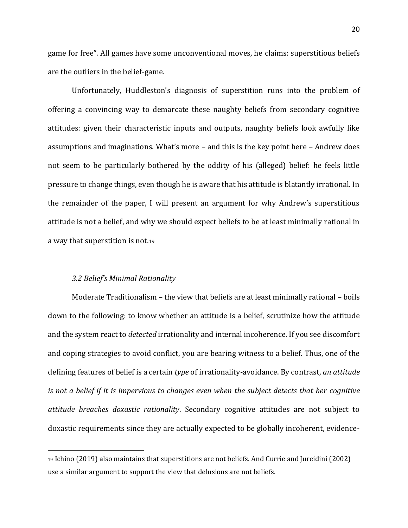game for free". All games have some unconventional moves, he claims: superstitious beliefs are the outliers in the belief-game.

Unfortunately, Huddleston's diagnosis of superstition runs into the problem of offering a convincing way to demarcate these naughty beliefs from secondary cognitive attitudes: given their characteristic inputs and outputs, naughty beliefs look awfully like assumptions and imaginations. What's more – and this is the key point here – Andrew does not seem to be particularly bothered by the oddity of his (alleged) belief: he feels little pressure to change things, even though he is aware that his attitude is blatantly irrational. In the remainder of the paper, I will present an argument for why Andrew's superstitious attitude is not a belief, and why we should expect beliefs to be at least minimally rational in a way that superstition is not.<sup>19</sup>

## *3.2 Belief's Minimal Rationality*

Moderate Traditionalism – the view that beliefs are at least minimally rational – boils down to the following: to know whether an attitude is a belief, scrutinize how the attitude and the system react to *detected* irrationality and internal incoherence. If you see discomfort and coping strategies to avoid conflict, you are bearing witness to a belief. Thus, one of the defining features of belief is a certain *type* of irrationality-avoidance. By contrast, *an attitude is not a belief if it is impervious to changes even when the subject detects that her cognitive attitude breaches doxastic rationality*. Secondary cognitive attitudes are not subject to doxastic requirements since they are actually expected to be globally incoherent, evidence-

<sup>19</sup> Ichino (2019) also maintains that superstitions are not beliefs. And Currie and Jureidini (2002) use a similar argument to support the view that delusions are not beliefs.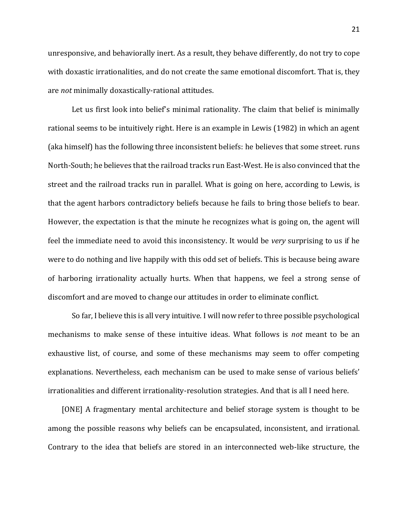unresponsive, and behaviorally inert. As a result, they behave differently, do not try to cope with doxastic irrationalities, and do not create the same emotional discomfort. That is, they are *not* minimally doxastically-rational attitudes.

Let us first look into belief's minimal rationality. The claim that belief is minimally rational seems to be intuitively right. Here is an example in Lewis (1982) in which an agent (aka himself) has the following three inconsistent beliefs: he believes that some street. runs North-South; he believes that the railroad tracks run East-West. He is also convinced that the street and the railroad tracks run in parallel. What is going on here, according to Lewis, is that the agent harbors contradictory beliefs because he fails to bring those beliefs to bear. However, the expectation is that the minute he recognizes what is going on, the agent will feel the immediate need to avoid this inconsistency. It would be *very* surprising to us if he were to do nothing and live happily with this odd set of beliefs. This is because being aware of harboring irrationality actually hurts. When that happens, we feel a strong sense of discomfort and are moved to change our attitudes in order to eliminate conflict.

So far, I believe this is all very intuitive. I will now refer to three possible psychological mechanisms to make sense of these intuitive ideas. What follows is *not* meant to be an exhaustive list, of course, and some of these mechanisms may seem to offer competing explanations. Nevertheless, each mechanism can be used to make sense of various beliefs' irrationalities and different irrationality-resolution strategies. And that is all I need here.

[ONE] A fragmentary mental architecture and belief storage system is thought to be among the possible reasons why beliefs can be encapsulated, inconsistent, and irrational. Contrary to the idea that beliefs are stored in an interconnected web-like structure, the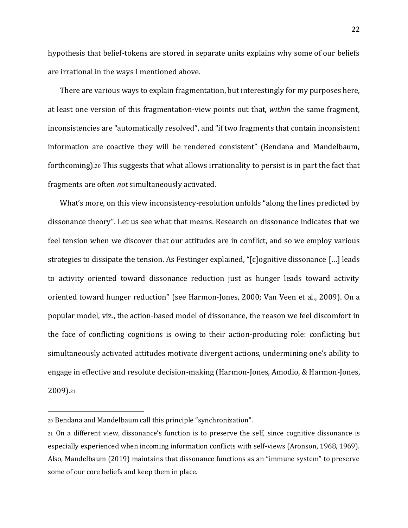hypothesis that belief-tokens are stored in separate units explains why some of our beliefs are irrational in the ways I mentioned above.

There are various ways to explain fragmentation, but interestingly for my purposes here, at least one version of this fragmentation-view points out that, *within* the same fragment, inconsistencies are "automatically resolved", and "if two fragments that contain inconsistent information are coactive they will be rendered consistent" (Bendana and Mandelbaum, forthcoming).<sup>20</sup> This suggests that what allows irrationality to persist is in part the fact that fragments are often *not* simultaneously activated.

What's more, on this view inconsistency-resolution unfolds "along the lines predicted by dissonance theory". Let us see what that means. Research on dissonance indicates that we feel tension when we discover that our attitudes are in conflict, and so we employ various strategies to dissipate the tension. As Festinger explained, "[c]ognitive dissonance […] leads to activity oriented toward dissonance reduction just as hunger leads toward activity oriented toward hunger reduction" (see Harmon-Jones, 2000; Van Veen et al., 2009). On a popular model, viz., the action-based model of dissonance, the reason we feel discomfort in the face of conflicting cognitions is owing to their action-producing role: conflicting but simultaneously activated attitudes motivate divergent actions, undermining one's ability to engage in effective and resolute decision-making (Harmon-Jones, Amodio, & Harmon-Jones, 2009).<sup>21</sup>

<sup>20</sup> Bendana and Mandelbaum call this principle "synchronization".

<sup>21</sup> On a different view, dissonance's function is to preserve the self, since cognitive dissonance is especially experienced when incoming information conflicts with self-views (Aronson, 1968, 1969). Also, Mandelbaum (2019) maintains that dissonance functions as an "immune system" to preserve some of our core beliefs and keep them in place.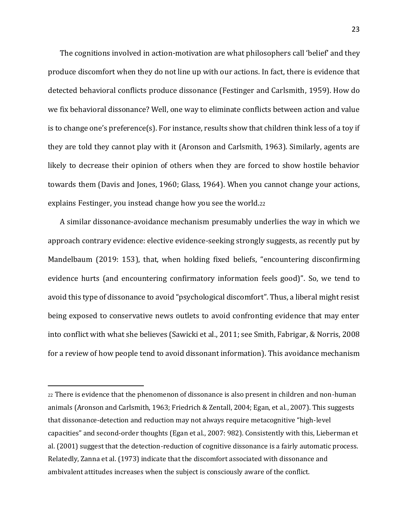The cognitions involved in action-motivation are what philosophers call 'belief' and they produce discomfort when they do not line up with our actions. In fact, there is evidence that detected behavioral conflicts produce dissonance (Festinger and Carlsmith, 1959). How do we fix behavioral dissonance? Well, one way to eliminate conflicts between action and value is to change one's preference(s). For instance, results show that children think less of a toy if they are told they cannot play with it (Aronson and Carlsmith, 1963). Similarly, agents are likely to decrease their opinion of others when they are forced to show hostile behavior towards them (Davis and Jones, 1960; Glass, 1964). When you cannot change your actions, explains Festinger, you instead change how you see the world.<sup>22</sup>

A similar dissonance-avoidance mechanism presumably underlies the way in which we approach contrary evidence: elective evidence-seeking strongly suggests, as recently put by Mandelbaum (2019: 153), that, when holding fixed beliefs, "encountering disconfirming evidence hurts (and encountering confirmatory information feels good)". So, we tend to avoid this type of dissonance to avoid "psychological discomfort". Thus, a liberal might resist being exposed to conservative news outlets to avoid confronting evidence that may enter into conflict with what she believes (Sawicki et al., 2011; see Smith, Fabrigar, & Norris, 2008 for a review of how people tend to avoid dissonant information). This avoidance mechanism

<sup>22</sup> There is evidence that the phenomenon of dissonance is also present in children and non-human animals (Aronson and Carlsmith, 1963; Friedrich & Zentall, 2004; Egan, et al., 2007). This suggests that dissonance-detection and reduction may not always require metacognitive "high-level capacities" and second-order thoughts (Egan et al., 2007: 982). Consistently with this, Lieberman et al. (2001) suggest that the detection-reduction of cognitive dissonance is a fairly automatic process. Relatedly, Zanna et al. (1973) indicate that the discomfort associated with dissonance and ambivalent attitudes increases when the subject is consciously aware of the conflict.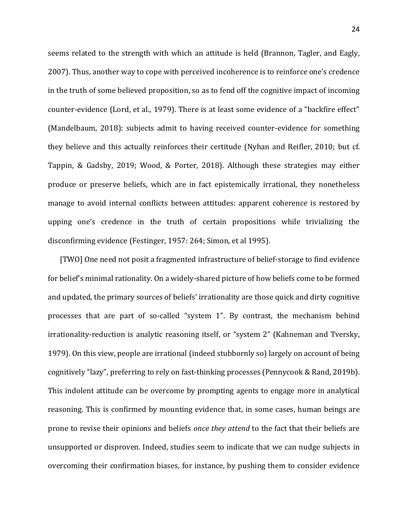seems related to the strength with which an attitude is held (Brannon, Tagler, and Eagly, 2007). Thus, another way to cope with perceived incoherence is to reinforce one's credence in the truth of some believed proposition, so as to fend off the cognitive impact of incoming counter-evidence (Lord, et al., 1979). There is at least some evidence of a "backfire effect" (Mandelbaum, 2018): subjects admit to having received counter-evidence for something they believe and this actually reinforces their certitude (Nyhan and Reifler, 2010; but cf. Tappin, & Gadsby, 2019; Wood, & Porter, 2018). Although these strategies may either produce or preserve beliefs, which are in fact epistemically irrational, they nonetheless manage to avoid internal conflicts between attitudes: apparent coherence is restored by upping one's credence in the truth of certain propositions while trivializing the disconfirming evidence (Festinger, 1957: 264; Simon, et al 1995).

[TWO] One need not posit a fragmented infrastructure of belief-storage to find evidence for belief's minimal rationality. On a widely-shared picture of how beliefs come to be formed and updated, the primary sources of beliefs' irrationality are those quick and dirty cognitive processes that are part of so-called "system 1". By contrast, the mechanism behind irrationality-reduction is analytic reasoning itself, or "system 2" (Kahneman and Tversky, 1979). On this view, people are irrational (indeed stubbornly so) largely on account of being cognitively "lazy", preferring to rely on fast-thinking processes (Pennycook & Rand, 2019b). This indolent attitude can be overcome by prompting agents to engage more in analytical reasoning. This is confirmed by mounting evidence that, in some cases, human beings are prone to revise their opinions and beliefs *once they attend* to the fact that their beliefs are unsupported or disproven. Indeed, studies seem to indicate that we can nudge subjects in overcoming their confirmation biases, for instance, by pushing them to consider evidence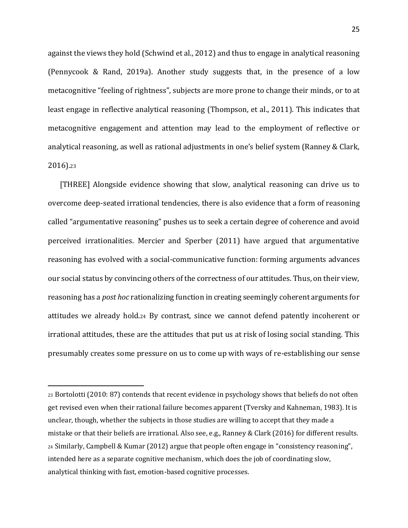against the views they hold (Schwind et al., 2012) and thus to engage in analytical reasoning (Pennycook & Rand, 2019a). Another study suggests that, in the presence of a low metacognitive "feeling of rightness", subjects are more prone to change their minds, or to at least engage in reflective analytical reasoning (Thompson, et al., 2011). This indicates that metacognitive engagement and attention may lead to the employment of reflective or analytical reasoning, as well as rational adjustments in one's belief system (Ranney & Clark, 2016).<sup>23</sup>

[THREE] Alongside evidence showing that slow, analytical reasoning can drive us to overcome deep-seated irrational tendencies, there is also evidence that a form of reasoning called "argumentative reasoning" pushes us to seek a certain degree of coherence and avoid perceived irrationalities. Mercier and Sperber (2011) have argued that argumentative reasoning has evolved with a social-communicative function: forming arguments advances our social status by convincing others of the correctness of our attitudes. Thus, on their view, reasoning has a *post hoc* rationalizing function in creating seemingly coherent arguments for attitudes we already hold.<sup>24</sup> By contrast, since we cannot defend patently incoherent or irrational attitudes, these are the attitudes that put us at risk of losing social standing. This presumably creates some pressure on us to come up with ways of re-establishing our sense

<sup>23</sup> Bortolotti (2010: 87) contends that recent evidence in psychology shows that beliefs do not often get revised even when their rational failure becomes apparent (Tversky and Kahneman, 1983). It is unclear, though, whether the subjects in those studies are willing to accept that they made a mistake or that their beliefs are irrational. Also see, e.g., Ranney & Clark (2016) for different results. <sup>24</sup> Similarly, Campbell & Kumar (2012) argue that people often engage in "consistency reasoning", intended here as a separate cognitive mechanism, which does the job of coordinating slow, analytical thinking with fast, emotion-based cognitive processes.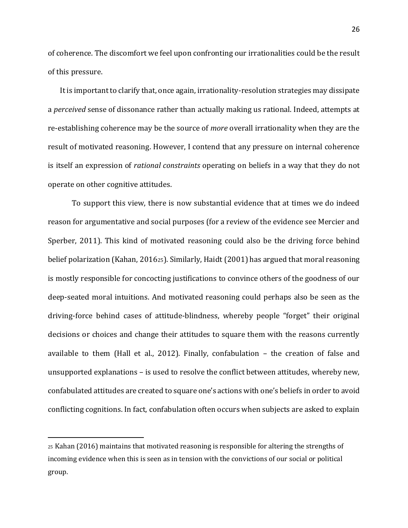of coherence. The discomfort we feel upon confronting our irrationalities could be the result of this pressure.

It is important to clarify that, once again, irrationality-resolution strategies may dissipate a *perceived* sense of dissonance rather than actually making us rational. Indeed, attempts at re-establishing coherence may be the source of *more* overall irrationality when they are the result of motivated reasoning. However, I contend that any pressure on internal coherence is itself an expression of *rational constraints* operating on beliefs in a way that they do not operate on other cognitive attitudes.

To support this view, there is now substantial evidence that at times we do indeed reason for argumentative and social purposes (for a review of the evidence see Mercier and Sperber, 2011). This kind of motivated reasoning could also be the driving force behind belief polarization (Kahan, 201625). Similarly, Haidt (2001) has argued that moral reasoning is mostly responsible for concocting justifications to convince others of the goodness of our deep-seated moral intuitions. And motivated reasoning could perhaps also be seen as the driving-force behind cases of attitude-blindness, whereby people "forget" their original decisions or choices and change their attitudes to square them with the reasons currently available to them (Hall et al., 2012). Finally, confabulation – the creation of false and unsupported explanations – is used to resolve the conflict between attitudes, whereby new, confabulated attitudes are created to square one's actions with one's beliefs in order to avoid conflicting cognitions. In fact, confabulation often occurs when subjects are asked to explain

<sup>25</sup> Kahan (2016) maintains that motivated reasoning is responsible for altering the strengths of incoming evidence when this is seen as in tension with the convictions of our social or political group.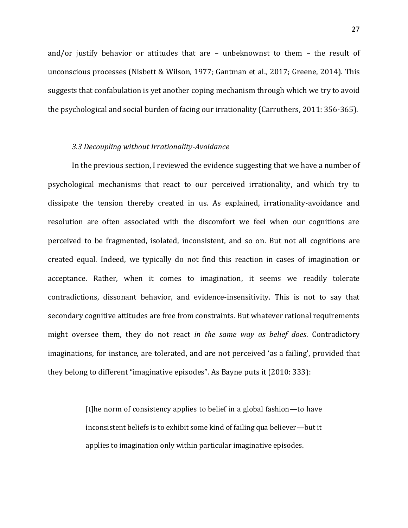and/or justify behavior or attitudes that are – unbeknownst to them – the result of unconscious processes (Nisbett & Wilson, 1977; Gantman et al., 2017; Greene, 2014). This suggests that confabulation is yet another coping mechanism through which we try to avoid the psychological and social burden of facing our irrationality (Carruthers, 2011: 356-365).

# *3.3 Decoupling without Irrationality-Avoidance*

In the previous section, I reviewed the evidence suggesting that we have a number of psychological mechanisms that react to our perceived irrationality, and which try to dissipate the tension thereby created in us. As explained, irrationality-avoidance and resolution are often associated with the discomfort we feel when our cognitions are perceived to be fragmented, isolated, inconsistent, and so on. But not all cognitions are created equal. Indeed, we typically do not find this reaction in cases of imagination or acceptance. Rather, when it comes to imagination, it seems we readily tolerate contradictions, dissonant behavior, and evidence-insensitivity. This is not to say that secondary cognitive attitudes are free from constraints. But whatever rational requirements might oversee them, they do not react *in the same way as belief does*. Contradictory imaginations, for instance, are tolerated, and are not perceived 'as a failing', provided that they belong to different "imaginative episodes". As Bayne puts it (2010: 333):

> [t]he norm of consistency applies to belief in a global fashion—to have inconsistent beliefs is to exhibit some kind of failing qua believer—but it applies to imagination only within particular imaginative episodes.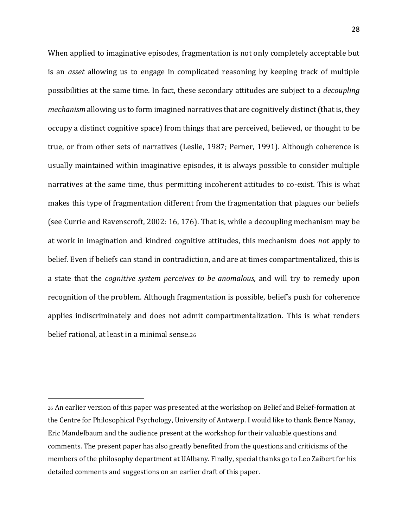When applied to imaginative episodes, fragmentation is not only completely acceptable but is an *asset* allowing us to engage in complicated reasoning by keeping track of multiple possibilities at the same time. In fact, these secondary attitudes are subject to a *decoupling mechanism* allowing us to form imagined narratives that are cognitively distinct (that is, they occupy a distinct cognitive space) from things that are perceived, believed, or thought to be true, or from other sets of narratives (Leslie, 1987; Perner, 1991). Although coherence is usually maintained within imaginative episodes, it is always possible to consider multiple narratives at the same time, thus permitting incoherent attitudes to co-exist. This is what makes this type of fragmentation different from the fragmentation that plagues our beliefs (see Currie and Ravenscroft, 2002: 16, 176). That is, while a decoupling mechanism may be at work in imagination and kindred cognitive attitudes, this mechanism does *not* apply to belief. Even if beliefs can stand in contradiction, and are at times compartmentalized, this is a state that the *cognitive system perceives to be anomalous*, and will try to remedy upon recognition of the problem. Although fragmentation is possible, belief's push for coherence applies indiscriminately and does not admit compartmentalization. This is what renders belief rational, at least in a minimal sense.<sup>26</sup>

<sup>26</sup> An earlier version of this paper was presented at the workshop on Belief and Belief-formation at the Centre for Philosophical Psychology, University of Antwerp. I would like to thank Bence Nanay, Eric Mandelbaum and the audience present at the workshop for their valuable questions and comments. The present paper has also greatly benefited from the questions and criticisms of the members of the philosophy department at UAlbany. Finally, special thanks go to Leo Zaibert for his detailed comments and suggestions on an earlier draft of this paper.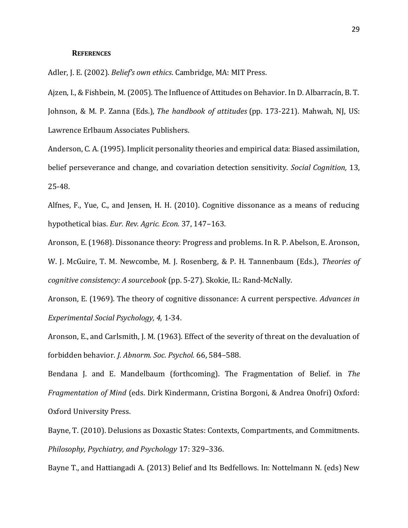### **REFERENCES**

Adler, J. E. (2002). *Belief's own ethics*. Cambridge, MA: MIT Press.

Ajzen, I., & Fishbein, M. (2005). The Influence of Attitudes on Behavior. In D. Albarracín, B. T. Johnson, & M. P. Zanna (Eds.), *The handbook of attitudes* (pp. 173-221). Mahwah, NJ, US: Lawrence Erlbaum Associates Publishers.

Anderson, C. A. (1995). Implicit personality theories and empirical data: Biased assimilation, belief perseverance and change, and covariation detection sensitivity. *Social Cognition,* 13, 25-48.

Alfnes, F., Yue, C., and Jensen, H. H. (2010). Cognitive dissonance as a means of reducing hypothetical bias. *Eur. Rev. Agric. Econ.* 37, 147–163.

Aronson, E. (1968). Dissonance theory: Progress and problems. In R. P. Abelson, E. Aronson,

W. J. McGuire, T. M. Newcombe, M. J. Rosenberg, & P. H. Tannenbaum (Eds.), *Theories of cognitive consistency: A sourcebook* (pp. 5-27). Skokie, IL: Rand-McNally.

Aronson, E. (1969). The theory of cognitive dissonance: A current perspective. *Advances in Experimental Social Psychology, 4,* 1-34.

Aronson, E., and Carlsmith, J. M. (1963). Effect of the severity of threat on the devaluation of forbidden behavior. *J. Abnorm. Soc. Psychol.* 66, 584–588.

Bendana J. and E. Mandelbaum (forthcoming). The Fragmentation of Belief. in *The Fragmentation of Mind* (eds. Dirk Kindermann, Cristina Borgoni, & Andrea Onofri) Oxford: Oxford University Press.

Bayne, T. (2010). Delusions as Doxastic States: Contexts, Compartments, and Commitments. *Philosophy, Psychiatry, and Psychology* 17: 329–336.

Bayne T., and Hattiangadi A. (2013) Belief and Its Bedfellows. In: Nottelmann N. (eds) New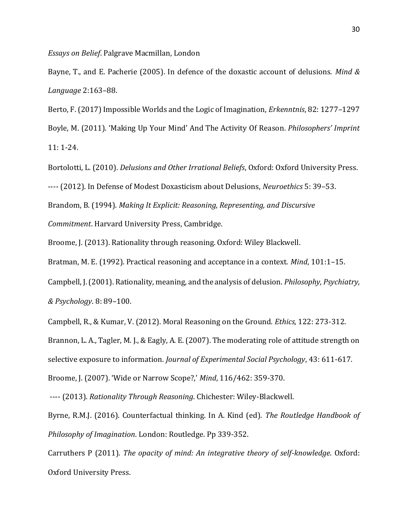*Essays on Belief*. Palgrave Macmillan, London

Bayne, T., and E. Pacherie (2005). In defence of the doxastic account of delusions. *Mind & Language* 2:163–88.

Berto, F. (2017) Impossible Worlds and the Logic of Imagination, *Erkenntnis*, 82: 1277–1297 Boyle, M. (2011). 'Making Up Your Mind' And The Activity Of Reason. *Philosophers' Imprint*  11: 1-24.

Bortolotti, L. (2010). *Delusions and Other Irrational Beliefs*, Oxford: Oxford University Press. ---- (2012). In Defense of Modest Doxasticism about Delusions, *Neuroethics* 5: 39–53.

Brandom, B. (1994). *Making It Explicit: Reasoning, Representing, and Discursive* 

*Commitment*. Harvard University Press, Cambridge.

Broome, J. (2013). Rationality through reasoning. Oxford: Wiley Blackwell.

Bratman, M. E. (1992). Practical reasoning and acceptance in a context. *Mind*, 101:1–15.

Campbell, J. (2001). Rationality, meaning, and the analysis of delusion. *Philosophy, Psychiatry, & Psychology*. 8: 89–100.

Campbell, R., & Kumar, V. (2012). Moral Reasoning on the Ground. *Ethics,* 122: 273-312.

Brannon, L. A., Tagler, M. J., & Eagly, A. E. (2007). The moderating role of attitude strength on

selective exposure to information. *Journal of Experimental Social Psychology*, 43: 611-617.

Broome, J. (2007). 'Wide or Narrow Scope?,' *Mind*, 116/462: 359-370.

---- (2013). *Rationality Through Reasoning*. Chichester: Wiley-Blackwell.

Byrne, R.M.J. (2016). Counterfactual thinking. In A. Kind (ed). *The Routledge Handbook of Philosophy of Imagination*. London: Routledge. Pp 339-352.

Carruthers P (2011). *The opacity of mind: An integrative theory of self-knowledge*. Oxford: Oxford University Press.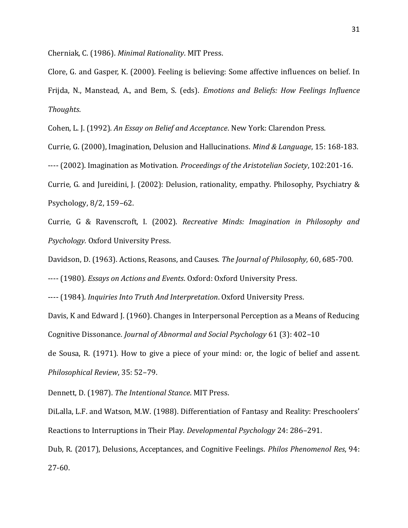Cherniak, C. (1986). *Minimal Rationality*. MIT Press.

Clore, G. and Gasper, K. (2000). Feeling is believing: Some affective influences on belief. In Frijda, N., Manstead, A., and Bem, S. (eds). *Emotions and Beliefs: How Feelings Influence Thoughts*.

Cohen, L. J. (1992). *An Essay on Belief and Acceptance*. New York: Clarendon Press.

Currie, G. (2000), Imagination, Delusion and Hallucinations. *Mind & Language*, 15: 168-183.

---- (2002). Imagination as Motivation. *Proceedings of the Aristotelian Society*, 102:201-16.

Currie, G. and Jureidini, J. (2002): Delusion, rationality, empathy. Philosophy, Psychiatry & Psychology, 8/2, 159–62.

Currie, G & Ravenscroft, I. (2002). *Recreative Minds: Imagination in Philosophy and Psychology.* Oxford University Press.

Davidson, D. (1963). Actions, Reasons, and Causes. *The Journal of Philosophy,* 60, 685-700.

---- (1980). *Essays on Actions and Events*. Oxford: Oxford University Press.

---- (1984). *Inquiries Into Truth And Interpretation*. Oxford University Press.

Davis, K and Edward J. (1960). Changes in Interpersonal Perception as a Means of Reducing Cognitive Dissonance. *Journal of Abnormal and Social Psychology* 61 (3): 402–10

de Sousa, R. (1971). How to give a piece of your mind: or, the logic of belief and assent. *Philosophical Review*, 35: 52–79.

Dennett, D. (1987). *The Intentional Stance*. MIT Press.

DiLalla, L.F. and Watson, M.W. (1988). Differentiation of Fantasy and Reality: Preschoolers' Reactions to Interruptions in Their Play. *Developmental Psychology* 24: 286–291.

Dub, R. (2017), Delusions, Acceptances, and Cognitive Feelings. *Philos Phenomenol Res*, 94: 27-60.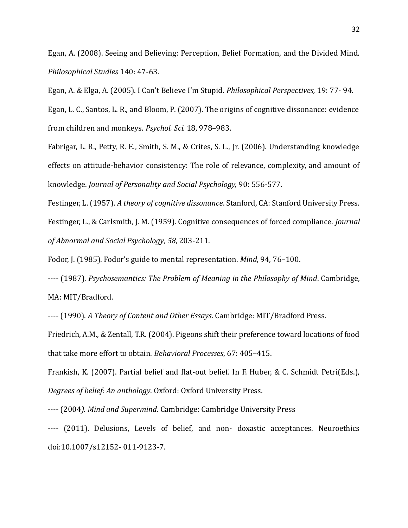Egan, A. (2008). Seeing and Believing: Perception, Belief Formation, and the Divided Mind. *Philosophical Studies* 140: 47-63.

Egan, A. & Elga, A. (2005). I Can't Believe I'm Stupid. *Philosophical Perspectives,* 19: 77- 94.

Egan, L. C., Santos, L. R., and Bloom, P. (2007). The origins of cognitive dissonance: evidence from children and monkeys. *Psychol. Sci.* 18, 978–983.

Fabrigar, L. R., Petty, R. E., Smith, S. M., & Crites, S. L., Jr. (2006). Understanding knowledge effects on attitude-behavior consistency: The role of relevance, complexity, and amount of knowledge. *Journal of Personality and Social Psychology,* 90: 556-577.

Festinger, L. (1957). *A theory of cognitive dissonance*. Stanford, CA: Stanford University Press. Festinger, L., & Carlsmith, J. M. (1959). Cognitive consequences of forced compliance. *Journal of Abnormal and Social Psychology*, *58*, 203-211.

Fodor, J. (1985). Fodor's guide to mental representation. *Mind*, 94, 76–100.

---- (1987). *Psychosemantics: The Problem of Meaning in the Philosophy of Mind*. Cambridge, MA: MIT/Bradford.

---- (1990). *A Theory of Content and Other Essays*. Cambridge: MIT/Bradford Press.

Friedrich, A.M., & Zentall, T.R. (2004). Pigeons shift their preference toward locations of food that take more effort to obtain. *Behavioral Processes*, 67: 405–415.

Frankish, K. (2007). Partial belief and flat-out belief. In F. Huber, & C. Schmidt Petri(Eds.), *Degrees of belief: An anthology*. Oxford: Oxford University Press.

---- (2004*). Mind and Supermind*. Cambridge: Cambridge University Press

---- (2011). Delusions, Levels of belief, and non- doxastic acceptances. Neuroethics doi:10.1007/s12152- 011-9123-7.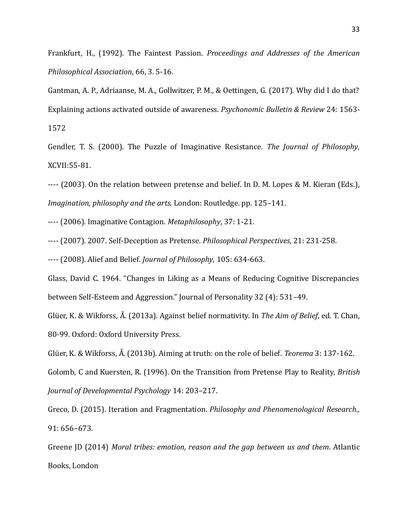Frankfurt, H., (1992). The Faintest Passion. *Proceedings and Addresses of the American Philosophical Association*, 66, 3. 5-16.

Gantman, A. P., Adriaanse, M. A., Gollwitzer, P. M., & Oettingen, G. (2017). Why did I do that? Explaining actions activated outside of awareness. *Psychonomic Bulletin & Review* 24: 1563- 1572

Gendler, T. S. (2000). The Puzzle of Imaginative Resistance. *The Journal of Philosophy*, XCVII:55-81.

---- (2003). On the relation between pretense and belief. In D. M. Lopes & M. Kieran (Eds.), *Imagination, philosophy and the arts.* London: Routledge. pp. 125–141.

---- (2006). Imaginative Contagion. *Metaphilosophy*, 37: 1-21.

---- (2007). 2007. Self-Deception as Pretense. *Philosophical Perspectives*, 21: 231-258.

---- (2008). Alief and Belief. *Journal of Philosophy*, 105: 634-663.

Glass, David C. 1964. "Changes in Liking as a Means of Reducing Cognitive Discrepancies between Self-Esteem and Aggression." Journal of Personality 32 (4): 531–49.

Glü er, K. & Wikforss, A . (2013a). Against belief normativity. In *The Aim of Belief*, ed. T. Chan, 80-99. Oxford: Oxford University Press.

Glü er, K. & Wikforss, A . (2013b). Aiming at truth: on the role of belief. *Teorema* 3: 137-162.

Golomb, C and Kuersten, R. (1996). On the Transition from Pretense Play to Reality, *British Journal of Developmental Psychology* 14: 203–217.

Greco, D. (2015). Iteration and Fragmentation. *Philosophy and Phenomenological Research.,*  91: 656–673.

Greene JD (2014) *Moral tribes: emotion, reason and the gap between us and them*. Atlantic Books, London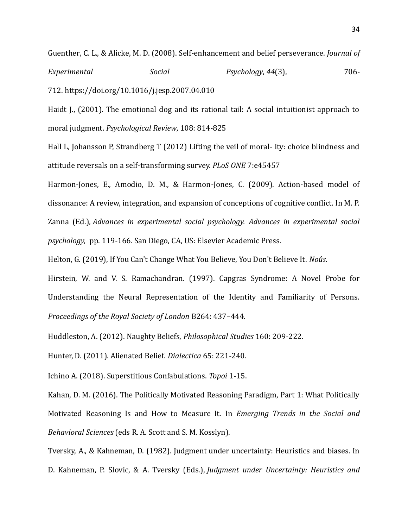Guenther, C. L., & Alicke, M. D. (2008). Self-enhancement and belief perseverance. *Journal of Experimental Social Psychology*, *44*(3), 706- 712. https://doi.org/10.1016/j.jesp.2007.04.010

Haidt J., (2001). The emotional dog and its rational tail: A social intuitionist approach to moral judgment. *Psychological Review*, 108: 814-825

Hall L, Johansson P, Strandberg T (2012) Lifting the veil of moral- ity: choice blindness and attitude reversals on a self-transforming survey. *PLoS ONE* 7:e45457

Harmon-Jones, E., Amodio, D. M., & Harmon-Jones, C. (2009). Action-based model of dissonance: A review, integration, and expansion of conceptions of cognitive conflict. In M. P. Zanna (Ed.), *Advances in experimental social psychology. Advances in experimental social psychology,* pp. 119-166. San Diego, CA, US: Elsevier Academic Press.

Helton, G. (2019), If You Can't Change What You Believe, You Don't Believe It. *Noûs*.

Hirstein, W. and V. S. Ramachandran. (1997). Capgras Syndrome: A Novel Probe for Understanding the Neural Representation of the Identity and Familiarity of Persons. *Proceedings of the Royal Society of London* B264: 437–444.

Huddleston, A. (2012). Naughty Beliefs, *Philosophical Studies* 160: 209-222.

Hunter, D. (2011). Alienated Belief. *Dialectica* 65: 221-240.

Ichino A. (2018). Superstitious Confabulations. *Topoi* 1-15.

Kahan, D. M. (2016). The Politically Motivated Reasoning Paradigm, Part 1: What Politically Motivated Reasoning Is and How to Measure It. In *Emerging Trends in the Social and Behavioral Sciences* (eds R. A. Scott and S. M. Kosslyn).

Tversky, A., & Kahneman, D. (1982). Judgment under uncertainty: Heuristics and biases. In D. Kahneman, P. Slovic, & A. Tversky (Eds.), *Judgment under Uncertainty: Heuristics and*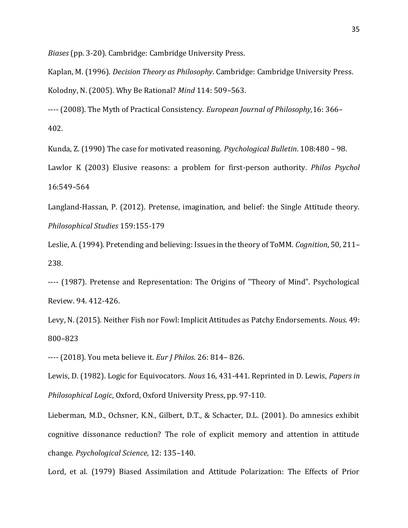*Biases* (pp. 3-20). Cambridge: Cambridge University Press.

Kaplan, M. (1996). *Decision Theory as Philosophy*. Cambridge: Cambridge University Press. Kolodny, N. (2005). Why Be Rational? *Mind* 114: 509–563.

---- (2008). The Myth of Practical Consistency. *European Journal of Philosophy,*16: 366– 402.

Kunda, Z. (1990) The case for motivated reasoning. *Psychological Bulletin*. 108:480 – 98.

Lawlor K (2003) Elusive reasons: a problem for first-person authority. *Philos Psychol* 16:549–564

Langland-Hassan, P. (2012). Pretense, imagination, and belief: the Single Attitude theory. *Philosophical Studies* 159:155-179

Leslie, A. (1994). Pretending and believing: Issues in the theory of ToMM. *Cognition*, 50, 211– 238.

---- (1987). Pretense and Representation: The Origins of "Theory of Mind". Psychological Review. 94. 412-426.

Levy, N. (2015). Neither Fish nor Fowl: Implicit Attitudes as Patchy Endorsements. *Nous*. 49: 800–823

---- (2018). You meta believe it. *Eur J Philos*. 26: 814– 826.

Lewis, D. (1982). Logic for Equivocators. *Nous* 16, 431-441. Reprinted in D. Lewis, *Papers in Philosophical Logic*, Oxford, Oxford University Press, pp. 97-110.

Lieberman, M.D., Ochsner, K.N., Gilbert, D.T., & Schacter, D.L. (2001). Do amnesics exhibit cognitive dissonance reduction? The role of explicit memory and attention in attitude change. *Psychological Science*, 12: 135–140.

Lord, et al. (1979) Biased Assimilation and Attitude Polarization: The Effects of Prior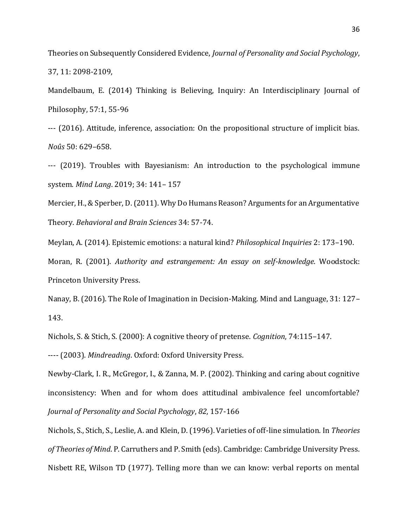Theories on Subsequently Considered Evidence, *Journal of Personality and Social Psychology*, 37, 11: 2098-2109,

Mandelbaum, E. (2014) Thinking is Believing, Inquiry: An Interdisciplinary Journal of Philosophy, 57:1, 55-96

--- (2016). Attitude, inference, association: On the propositional structure of implicit bias. *Noûs* 50: 629–658.

--- (2019). Troubles with Bayesianism: An introduction to the psychological immune system. *Mind Lang*. 2019; 34: 141– 157

Mercier, H., & Sperber, D. (2011). Why Do Humans Reason? Arguments for an Argumentative Theory. *Behavioral and Brain Sciences* 34: 57-74.

Meylan, A. (2014). Epistemic emotions: a natural kind? *Philosophical Inquiries* 2: 173–190.

Moran, R. (2001). *Authority and estrangement: An essay on self-knowledge*. Woodstock: Princeton University Press.

Nanay, B. (2016). The Role of Imagination in Decision-Making. Mind and Language, 31: 127– 143.

Nichols, S. & Stich, S. (2000): A cognitive theory of pretense. *Cognition*, 74:115–147.

---- (2003). *Mindreading*. Oxford: Oxford University Press.

Newby-Clark, I. R., McGregor, I., & Zanna, M. P. (2002). Thinking and caring about cognitive inconsistency: When and for whom does attitudinal ambivalence feel uncomfortable? *Journal of Personality and Social Psychology*, *82*, 157-166

Nichols, S., Stich, S., Leslie, A. and Klein, D. (1996). Varieties of off-line simulation. In *Theories of Theories of Mind*. P. Carruthers and P. Smith (eds). Cambridge: Cambridge University Press. Nisbett RE, Wilson TD (1977). Telling more than we can know: verbal reports on mental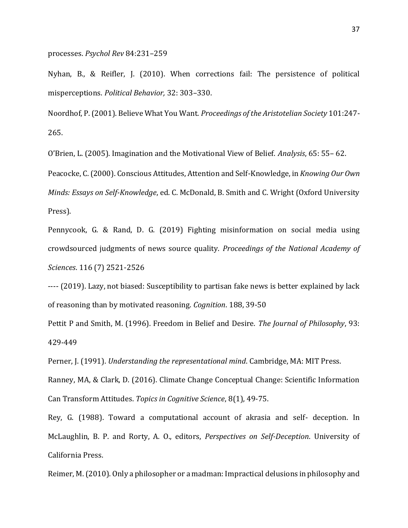processes. *Psychol Rev* 84:231–259

Nyhan, B., & Reifler, J. (2010). When corrections fail: The persistence of political misperceptions. *Political Behavior,* 32: 303–330.

Noordhof, P. (2001). Believe What You Want. *Proceedings of the Aristotelian Society* 101:247- 265.

O'Brien, L. (2005). Imagination and the Motivational View of Belief. *Analysis*, 65: 55– 62.

Peacocke, C. (2000). Conscious Attitudes, Attention and Self-Knowledge, in *Knowing Our Own Minds: Essays on Self-Knowledge*, ed. C. McDonald, B. Smith and C. Wright (Oxford University Press).

Pennycook, G. & Rand, D. G. (2019) Fighting misinformation on social media using crowdsourced judgments of news source quality. *Proceedings of the National Academy of Sciences*. 116 (7) 2521-2526

---- (2019). Lazy, not biased: Susceptibility to partisan fake news is better explained by lack of reasoning than by motivated reasoning. *Cognition*. 188, 39-50

Pettit P and Smith, M. (1996). Freedom in Belief and Desire. *The Journal of Philosophy*, 93: 429-449

Perner, J. (1991). *Understanding the representational mind*. Cambridge, MA: MIT Press.

Ranney, MA, & Clark, D. (2016). Climate Change Conceptual Change: Scientific Information Can Transform Attitudes. *Topics in Cognitive Science*, 8(1), 49-75.

Rey, G. (1988). Toward a computational account of akrasia and self- deception. In McLaughlin, B. P. and Rorty, A. O., editors, *Perspectives on Self-Deception*. University of California Press.

Reimer, M. (2010). Only a philosopher or a madman: Impractical delusions in philosophy and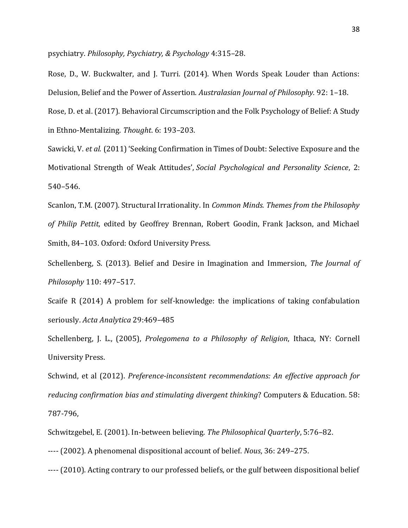psychiatry. *Philosophy, Psychiatry, & Psychology* 4:315–28.

Rose, D., W. Buckwalter, and J. Turri. (2014). When Words Speak Louder than Actions: Delusion, Belief and the Power of Assertion. *Australasian Journal of Philosophy.* 92: 1–18. Rose, D. et al. (2017). Behavioral Circumscription and the Folk Psychology of Belief: A Study in Ethno-Mentalizing. *Thought*. 6: 193–203.

Sawicki, V. *et al.* (2011) 'Seeking Confirmation in Times of Doubt: Selective Exposure and the Motivational Strength of Weak Attitudes', *Social Psychological and Personality Science*, 2: 540–546.

Scanlon, T.M. (2007). Structural Irrationality. In *Common Minds. Themes from the Philosophy of Philip Pettit*, edited by Geoffrey Brennan, Robert Goodin, Frank Jackson, and Michael Smith, 84–103. Oxford: Oxford University Press.

Schellenberg, S. (2013). Belief and Desire in Imagination and Immersion, *The Journal of Philosophy* 110: 497–517.

Scaife R (2014) A problem for self-knowledge: the implications of taking confabulation seriously. *Acta Analytica* 29:469–485

Schellenberg, J. L., (2005), *Prolegomena to a Philosophy of Religion*, Ithaca, NY: Cornell University Press.

Schwind, et al (2012). *Preference-inconsistent recommendations: An effective approach for reducing confirmation bias and stimulating divergent thinking*? Computers & Education. 58: 787-796,

Schwitzgebel, E. (2001). In-between believing. *The Philosophical Quarterly*, 5:76–82.

---- (2002). A phenomenal dispositional account of belief. *Nous*, 36: 249–275.

---- (2010). Acting contrary to our professed beliefs, or the gulf between dispositional belief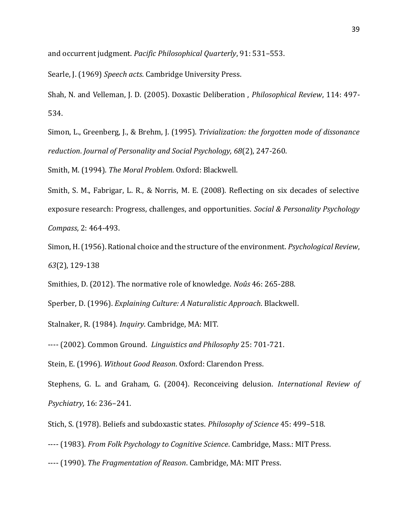and occurrent judgment. *Pacific Philosophical Quarterly*, 91: 531–553.

Searle, J. (1969) *Speech acts*. Cambridge University Press.

Shah, N. and Velleman, J. D. (2005). Doxastic Deliberation , *Philosophical Review*, 114: 497- 534.

Simon, L., Greenberg, J., & Brehm, J. (1995). *Trivialization: the forgotten mode of dissonance reduction*. *Journal of Personality and Social Psychology, 68*(2), 247-260.

Smith, M. (1994). *The Moral Problem*. Oxford: Blackwell.

Smith, S. M., Fabrigar, L. R., & Norris, M. E. (2008). Reflecting on six decades of selective exposure research: Progress, challenges, and opportunities. *Social & Personality Psychology Compass*, 2: 464-493.

Simon, H. (1956). Rational choice and the structure of the environment. *Psychological Review*, *63*(2), 129-138

Smithies, D. (2012). The normative role of knowledge. *Noûs* 46: 265-288.

Sperber, D. (1996). *Explaining Culture: A Naturalistic Approach*. Blackwell.

Stalnaker, R. (1984). *Inquiry*. Cambridge, MA: MIT.

---- (2002). Common Ground. *Linguistics and Philosophy* 25: 701-721.

Stein, E. (1996). *Without Good Reason*. Oxford: Clarendon Press.

Stephens, G. L. and Graham, G. (2004). Reconceiving delusion. *International Review of Psychiatry*, 16: 236–241.

Stich, S. (1978). Beliefs and subdoxastic states. *Philosophy of Science* 45: 499–518.

---- (1983). *From Folk Psychology to Cognitive Science*. Cambridge, Mass.: MIT Press.

---- (1990). *The Fragmentation of Reason*. Cambridge, MA: MIT Press.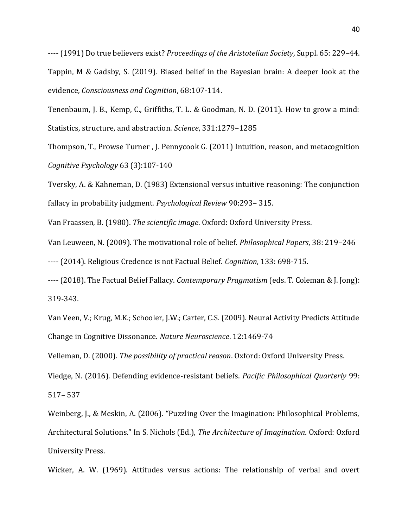---- (1991) Do true believers exist? *Proceedings of the Aristotelian Society*, Suppl. 65: 229–44. Tappin, M & Gadsby, S. (2019). Biased belief in the Bayesian brain: A deeper look at the evidence, *Consciousness and Cognition*, 68:107-114.

Tenenbaum, J. B., Kemp, C., Griffiths, T. L. & Goodman, N. D. (2011). How to grow a mind: Statistics, structure, and abstraction. *Science*, 331:1279–1285

Thompson, T., Prowse Turner , J. Pennycook G. (2011) Intuition, reason, and metacognition *Cognitive Psychology* 63 (3):107-140

Tversky, A. & Kahneman, D. (1983) Extensional versus intuitive reasoning: The conjunction fallacy in probability judgment. *Psychological Review* 90:293– 315.

Van Fraassen, B. (1980). *The scientific image*. Oxford: Oxford University Press.

Van Leuween, N. (2009). The motivational role of belief. *Philosophical Papers*, 38: 219–246

---- (2014). Religious Credence is not Factual Belief. *Cognition,* 133: 698-715.

---- (2018). The Factual Belief Fallacy. *Contemporary Pragmatism* (eds. T. Coleman & J. Jong): 319-343.

Van Veen, V.; Krug, M.K.; Schooler, J.W.; Carter, C.S. (2009). Neural Activity Predicts Attitude Change in Cognitive Dissonance. *Nature Neuroscience*. 12:1469-74

Velleman, D. (2000). *The possibility of practical reason*. Oxford: Oxford University Press.

Viedge, N. (2016). Defending evidence-resistant beliefs. *Pacific Philosophical Quarterly* 99: 517– 537

Weinberg, J., & Meskin, A. (2006). "Puzzling Over the Imagination: Philosophical Problems, Architectural Solutions." In S. Nichols (Ed.), *The Architecture of Imagination*. Oxford: Oxford University Press.

Wicker, A. W. (1969). Attitudes versus actions: The relationship of verbal and overt